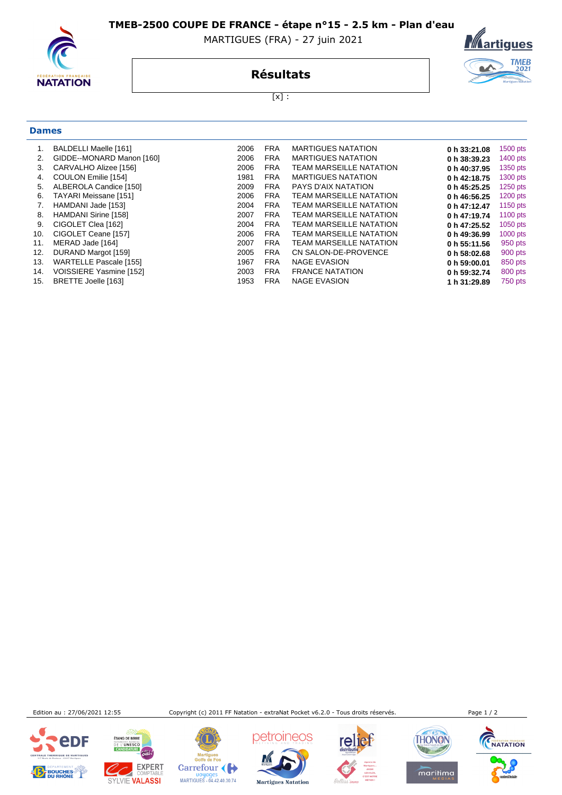**TMEB-2500 COUPE DE FRANCE - étape n°15 - 2.5 km - Plan d'eau** 

**NATATION** 

**Dames**

## MARTIGUES (FRA) - 27 juin 2021



**Résultats**

 $[x]$  :

|     | BALDELLI Maelle [161]         | 2006 | <b>FRA</b> | <b>MARTIGUES NATATION</b>      | 0 h 33:21.08 | 1500 pts   |
|-----|-------------------------------|------|------------|--------------------------------|--------------|------------|
| 2.  | GIDDE--MONARD Manon [160]     | 2006 | <b>FRA</b> | <b>MARTIGUES NATATION</b>      | 0 h 38:39.23 | 1400 $pts$ |
| 3.  | CARVALHO Alizee [156]         | 2006 | <b>FRA</b> | <b>TEAM MARSEILLE NATATION</b> | 0 h 40:37.95 | 1350 pts   |
| 4.  | COULON Emilie [154]           | 1981 | <b>FRA</b> | <b>MARTIGUES NATATION</b>      | 0 h 42:18.75 | 1300 pts   |
| 5.  | ALBEROLA Candice [150]        | 2009 | <b>FRA</b> | PAYS D'AIX NATATION            | 0 h 45:25.25 | $1250$ pts |
| 6.  | TAYARI Meissane [151]         | 2006 | <b>FRA</b> | <b>TEAM MARSEILLE NATATION</b> | 0 h 46:56.25 | $1200$ pts |
| 7.  | HAMDANI Jade [153]            | 2004 | <b>FRA</b> | <b>TEAM MARSEILLE NATATION</b> | 0 h 47:12.47 | 1150 $pts$ |
| 8.  | HAMDANI Sirine [158]          | 2007 | <b>FRA</b> | TEAM MARSEILLE NATATION        | 0 h 47:19.74 | 1100 $pts$ |
| 9.  | CIGOLET Clea [162]            | 2004 | <b>FRA</b> | <b>TEAM MARSEILLE NATATION</b> | 0 h 47:25.52 | $1050$ pts |
| 10. | CIGOLET Ceane [157]           | 2006 | <b>FRA</b> | <b>TEAM MARSEILLE NATATION</b> | 0 h 49:36.99 | $1000$ pts |
| 11. | MERAD Jade [164]              | 2007 | <b>FRA</b> | <b>TEAM MARSEILLE NATATION</b> | 0 h 55:11.56 | 950 pts    |
| 12. | DURAND Margot [159]           | 2005 | <b>FRA</b> | CN SALON-DE-PROVENCE           | 0 h 58:02.68 | 900 pts    |
| 13. | <b>WARTELLE Pascale [155]</b> | 1967 | <b>FRA</b> | <b>NAGE EVASION</b>            | 0 h 59:00.01 | 850 pts    |
| 14. | VOISSIERE Yasmine [152]       | 2003 | <b>FRA</b> | <b>FRANCE NATATION</b>         | 0 h 59:32.74 | 800 pts    |
| 15. | BRETTE Joelle [163]           | 1953 | <b>FRA</b> | <b>NAGE EVASION</b>            | 1 h 31:29.89 | 750 pts    |
|     |                               |      |            |                                |              |            |

Edition au : 27/06/2021 12:55 Copyright (c) 2011 FF Natation - extraNat Pocket v6.2.0 - Tous droits réservés. Page 1 / 2





Martigues<br>Golfe de Fos Carrefour Doyages<br>MARTIGUES - 04.42.40.30.74